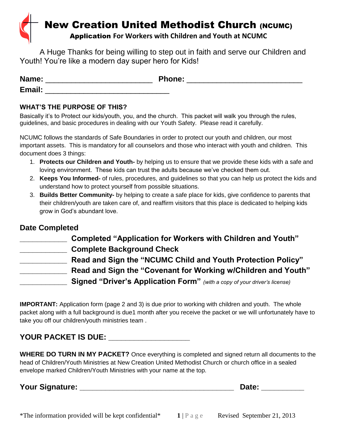# **New Creation United Methodist Church (NCUMC)** Application **For Workers with Children and Youth at NCUMC**

A Huge Thanks for being willing to step out in faith and serve our Children and Youth! You're like a modern day super hero for Kids!

| Name:  | <b>Phone:</b> |
|--------|---------------|
| Email: |               |

### **WHAT'S THE PURPOSE OF THIS?**

Basically it's to Protect our kids/youth, you, and the church. This packet will walk you through the rules, guidelines, and basic procedures in dealing with our Youth Safety. Please read it carefully.

NCUMC follows the standards of Safe Boundaries in order to protect our youth and children, our most important assets. This is mandatory for all counselors and those who interact with youth and children. This document does 3 things:

- 1. **Protects our Children and Youth-** by helping us to ensure that we provide these kids with a safe and loving environment. These kids can trust the adults because we've checked them out.
- 2. **Keeps You Informed-** of rules, procedures, and guidelines so that you can help us protect the kids and understand how to protect yourself from possible situations.
- 3. **Builds Better Community-** by helping to create a safe place for kids, give confidence to parents that their children/youth are taken care of, and reaffirm visitors that this place is dedicated to helping kids grow in God's abundant love.

## **Date Completed**

| Completed "Application for Workers with Children and Youth"                      |
|----------------------------------------------------------------------------------|
| <b>Complete Background Check</b>                                                 |
| Read and Sign the "NCUMC Child and Youth Protection Policy"                      |
| Read and Sign the "Covenant for Working w/Children and Youth"                    |
| <b>Signed "Driver's Application Form"</b> (with a copy of your driver's license) |

**IMPORTANT:** Application form (page 2 and 3) is due prior to working with children and youth. The whole packet along with a full background is due1 month after you receive the packet or we will unfortunately have to take you off our children/youth ministries team .

## **YOUR PACKET IS DUE: \_\_\_\_\_\_\_\_\_\_\_\_\_\_\_\_\_\_\_**

**WHERE DO TURN IN MY PACKET?** Once everything is completed and signed return all documents to the head of Children/Youth Ministries at New Creation United Methodist Church or church office in a sealed envelope marked Children/Youth Ministries with your name at the top.

**Your Signature: Construction Construction Construction Construction Construction Construction Construction Construction Construction Construction Construction Construction Construction Construction Construction Construc**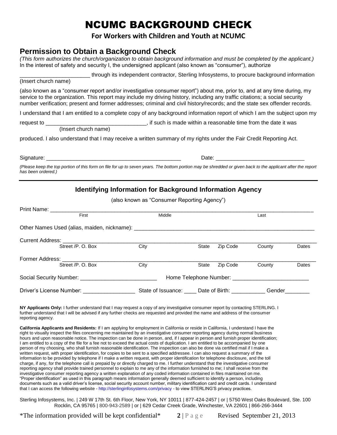## NCUMC BACKGROUND CHECK

### **For Workers with Children and Youth at NCUMC**

## **Permission to Obtain a Background Check**

| (This form authorizes the church/organization to obtain background information and must be completed by the applicant.) |  |
|-------------------------------------------------------------------------------------------------------------------------|--|
| In the interest of safety and security I, the undersigned applicant (also known as "consumer"), authorize               |  |

\_\_\_\_\_\_\_\_\_\_\_\_\_\_\_\_\_\_\_\_\_\_\_ through its independent contractor, Sterling Infosystems, to procure background information

(Insert church name)

(also known as a "consumer report and/or investigative consumer report") about me, prior to, and at any time during, my service to the organization. This report may include my driving history, including any traffic citations; a social security number verification; present and former addresses; criminal and civil history/records; and the state sex offender records.

I understand that I am entitled to a complete copy of any background information report of which I am the subject upon my

request to **the contract of the contract of the contract of the contract of the contract of the date it was** 

(Insert church name)

produced. I also understand that I may receive a written summary of my rights under the Fair Credit Reporting Act.

| <b>.</b><br>Siana<br>. | - 17<br>. .<br>. |  |
|------------------------|------------------|--|
|                        |                  |  |

*(Please keep the top portion of this form on file for up to seven years. The bottom portion may be shredded or given back to the applicant after the report has been ordered.)*

## **Identifying Information for Background Information Agency**

(also known as "Consumer Reporting Agency")

| Print Name: _____________                         |      |                                   |          |        |       |
|---------------------------------------------------|------|-----------------------------------|----------|--------|-------|
| First                                             |      | Middle                            |          | Last   |       |
|                                                   |      |                                   |          |        |       |
|                                                   |      |                                   |          |        |       |
| Street /P. O. Box                                 | City | State                             | Zip Code | County | Dates |
| Former Address: ____________<br>Street /P. O. Box | City | State                             | Zip Code | County | Dates |
|                                                   |      |                                   |          |        |       |
| Driver's License Number:                          |      | State of Issuance: Date of Birth: |          | Gender |       |

**NY Applicants Only:** I further understand that I may request a copy of any investigative consumer report by contacting STERLING. I further understand that I will be advised if any further checks are requested and provided the name and address of the consumer reporting agency.

**California Applicants and Residents:** If I am applying for employment in California or reside in California, I understand I have the right to visually inspect the files concerning me maintained by an investigative consumer reporting agency during normal business hours and upon reasonable notice. The inspection can be done in person, and, if I appear in person and furnish proper identification; I am entitled to a copy of the file for a fee not to exceed the actual costs of duplication. I am entitled to be accompanied by one person of my choosing, who shall furnish reasonable identification. The inspection can also be done via certified mail if I make a written request, with proper identification, for copies to be sent to a specified addressee. I can also request a summary of the information to be provided by telephone if I make a written request, with proper identification for telephone disclosure, and the toll charge, if any, for the telephone call is prepaid by or directly charged to me. I further understand that the investigative consumer reporting agency shall provide trained personnel to explain to me any of the information furnished to me; I shall receive from the investigative consumer reporting agency a written explanation of any coded information contained in files maintained on me. "Proper identification" as used in this paragraph means information generally deemed sufficient to identify a person, including documents such as a valid driver's license, social security account number, military identification card and credit cards. I understand that I can access the following website - http://sterlinginfosystems.com/privacy - to view STERLING'S privacy practices.

Sterling Infosystems, Inc. | 249 W 17th St. 6th Floor, New York, NY 10011 | 877-424-2457 | or | 5750 West Oaks Boulevard, Ste. 100 Rocklin, CA 95765 | 800-943-2589 | or | 629 Cedar Creek Grade, Winchester, VA 22601 | 866-266-3444

\*The information provided will be kept confidential\*  $2 \mid P \text{ a } g \text{ e}$  Revised September 21, 2013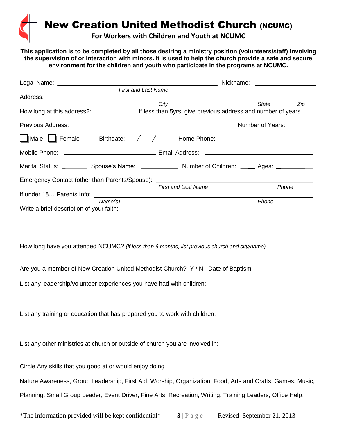**New Creation United Methodist Church (NCUMC)** 

**For Workers with Children and Youth at NCUMC**

**This application is to be completed by all those desiring a ministry position (volunteers/staff) involving the supervision of or interaction with minors. It is used to help the church provide a safe and secure environment for the children and youth who participate in the programs at NCUMC.**

|                                                                                                           |                            | Nickname: Nickname:       |  |
|-----------------------------------------------------------------------------------------------------------|----------------------------|---------------------------|--|
|                                                                                                           | <b>First and Last Name</b> |                           |  |
|                                                                                                           |                            |                           |  |
|                                                                                                           | City                       | State<br>Zip              |  |
|                                                                                                           |                            |                           |  |
|                                                                                                           |                            | Number of Years: ________ |  |
|                                                                                                           |                            |                           |  |
|                                                                                                           |                            |                           |  |
| Marital Status: ____________ Spouse's Name: _______________ Number of Children: ______ Ages: ____________ |                            |                           |  |
| Emergency Contact (other than Parents/Spouse): _________________________________                          |                            |                           |  |
|                                                                                                           | <b>First and Last Name</b> | Phone                     |  |
|                                                                                                           |                            |                           |  |
| Name(s)                                                                                                   |                            | Phone                     |  |
| Write a brief description of your faith:                                                                  |                            |                           |  |

How long have you attended NCUMC? *(if less than 6 months, list previous church and city/name)*

Are you a member of New Creation United Methodist Church? Y / N Date of Baptism: \_\_\_\_\_\_

List any leadership/volunteer experiences you have had with children:

List any training or education that has prepared you to work with children:

List any other ministries at church or outside of church you are involved in:

Circle Any skills that you good at or would enjoy doing

Nature Awareness, Group Leadership, First Aid, Worship, Organization, Food, Arts and Crafts, Games, Music, Planning, Small Group Leader, Event Driver, Fine Arts, Recreation, Writing, Training Leaders, Office Help.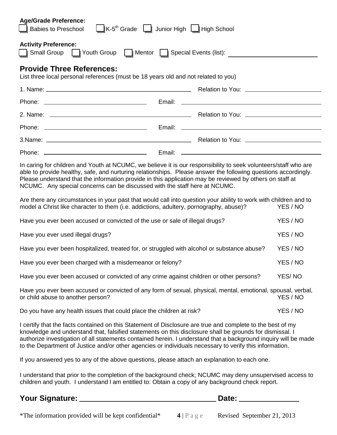| <b>Age/Grade Preference:</b><br>K-5 <sup>th</sup> Grade   Junior High   High School<br><b>Babies to Preschool</b>                                                                                                                                                                                                                                                                                                                                    |  |          |  |
|------------------------------------------------------------------------------------------------------------------------------------------------------------------------------------------------------------------------------------------------------------------------------------------------------------------------------------------------------------------------------------------------------------------------------------------------------|--|----------|--|
| <b>Activity Preference:</b><br>Small Group Small Group Special Events (list):                                                                                                                                                                                                                                                                                                                                                                        |  |          |  |
| <b>Provide Three References:</b><br>List three local personal references (must be 18 years old and not related to you)                                                                                                                                                                                                                                                                                                                               |  |          |  |
|                                                                                                                                                                                                                                                                                                                                                                                                                                                      |  |          |  |
|                                                                                                                                                                                                                                                                                                                                                                                                                                                      |  |          |  |
|                                                                                                                                                                                                                                                                                                                                                                                                                                                      |  |          |  |
|                                                                                                                                                                                                                                                                                                                                                                                                                                                      |  |          |  |
|                                                                                                                                                                                                                                                                                                                                                                                                                                                      |  |          |  |
|                                                                                                                                                                                                                                                                                                                                                                                                                                                      |  |          |  |
| In caring for children and Youth at NCUMC, we believe it is our responsibility to seek volunteers/staff who are<br>able to provide healthy, safe, and nurturing relationships. Please answer the following questions accordingly.<br>Please understand that the information provide in this application may be reviewed by others on staff at<br>NCUMC. Any special concerns can be discussed with the staff here at NCUMC.                          |  |          |  |
| Are there any circumstances in your past that would call into question your ability to work with children and to<br>YES / NO<br>model a Christ like character to them (i.e. addictions, adultery, pornography, abuse)?                                                                                                                                                                                                                               |  |          |  |
| Have you ever been accused or convicted of the use or sale of illegal drugs?                                                                                                                                                                                                                                                                                                                                                                         |  | YES / NO |  |
| Have you ever used illegal drugs?                                                                                                                                                                                                                                                                                                                                                                                                                    |  | YES / NO |  |
| Have you ever been hospitalized, treated for, or struggled with alcohol or substance abuse?                                                                                                                                                                                                                                                                                                                                                          |  | YES / NO |  |
| Have you ever been charged with a misdemeanor or felony?                                                                                                                                                                                                                                                                                                                                                                                             |  | YES / NO |  |
| Have you ever been accused or convicted of any crime against children or other persons?                                                                                                                                                                                                                                                                                                                                                              |  | YES/NO   |  |
| Have you ever been accused or convicted of any form of sexual, physical, mental, emotional, spousal, verbal,<br>or child abuse to another person?<br>YES / NO                                                                                                                                                                                                                                                                                        |  |          |  |
| Do you have any health issues that could place the children at risk?                                                                                                                                                                                                                                                                                                                                                                                 |  | YES / NO |  |
| I certify that the facts contained on this Statement of Disclosure are true and complete to the best of my<br>knowledge and understand that, falsified statements on this disclosure shall be grounds for dismissal. I<br>authorize investigation of all statements contained herein. I understand that a background inquiry will be made<br>to the Department of Justice and/or other agencies or individuals necessary to verify this information. |  |          |  |
| If you answered yes to any of the above questions, please attach an explanation to each one.                                                                                                                                                                                                                                                                                                                                                         |  |          |  |
| I understand that prior to the completion of the background check; NCUMC may deny unsupervised access to<br>children and youth. I understand I am entitled to: Obtain a copy of any background check report.                                                                                                                                                                                                                                         |  |          |  |

**Your Signature: Date:** 

\*The information provided will be kept confidential\* **4** | P a g e Revised September 21, 2013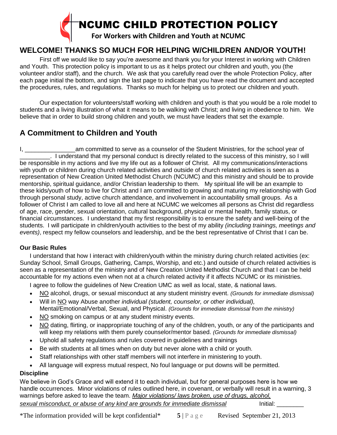

## **WELCOME! THANKS SO MUCH FOR HELPING W/CHILDREN AND/OR YOUTH!**

First off we would like to say you're awesome and thank you for your Interest in working with Children and Youth. This protection policy is important to us as it helps protect our children and youth, you (the volunteer and/or staff), and the church. We ask that you carefully read over the whole Protection Policy, after each page initial the bottom, and sign the last page to indicate that you have read the document and accepted the procedures, rules, and regulations. Thanks so much for helping us to protect our children and youth.

Our expectation for volunteers/staff working with children and youth is that you would be a role model to students and a living illustration of what it means to be walking with Christ; and living in obedience to him. We believe that in order to build strong children and youth, we must have leaders that set the example.

## **A Commitment to Children and Youth**

I, and am committed to serve as a counselor of the Student Ministries, for the school year of \_\_\_\_\_\_\_\_\_. I understand that my personal conduct is directly related to the success of this ministry, so I will be responsible in my actions and live my life out as a follower of Christ. All my communications/interactions with youth or children during church related activities and outside of church related activities is seen as a representation of New Creation United Methodist Church (NCUMC) and this ministry and should be to provide mentorship, spiritual guidance, and/or Christian leadership to them. My spiritual life will be an example to these kids/youth of how to live for Christ and I am committed to growing and maturing my relationship with God through personal study, active church attendance, and involvement in accountability small groups. As a follower of Christ I am called to love all and here at NCUMC we welcomes all persons as Christ did regardless of age, race, gender, sexual orientation, cultural background, physical or mental health, family status, or financial circumstances. I understand that my first responsibility is to ensure the safety and well-being of the students. I will participate in children/youth activities to the best of my ability *(including trainings, meetings and events)*, respect my fellow counselors and leadership, and be the best representative of Christ that I can be.

#### **Our Basic Rules**

I understand that how I interact with children/youth within the ministry during church related activities (ex: Sunday School, Small Groups, Gathering, Camps, Worship, and etc.) and outside of church related activities is seen as a representation of the ministry and of New Creation United Methodist Church and that I can be held accountable for my actions even when not at a church related activity if it affects NCUMC or its ministries.

I agree to follow the guidelines of New Creation UMC as well as local, state, & national laws.

- NO alcohol, drugs, or sexual misconduct at any student ministry event. *(Grounds for immediate dismissal)*
- Will in NO way Abuse another *individual (student, counselor, or other individual),* Mental/Emotional/Verbal, Sexual, and Physical. *(Grounds for immediate dismissal from the ministry)*
- NO smoking on campus or at any student ministry events.
- NO dating, flirting, or inappropriate touching of any of the children, youth, or any of the participants and will keep my relations with them purely counselor/mentor based. *(Grounds for immediate dismissal)*
- Uphold all safety regulations and rules covered in guidelines and trainings
- Be with students at all times when on duty but never alone with a child or youth.
- Staff relationships with other staff members will not interfere in ministering to youth.
- All language will express mutual respect, No foul language or put downs will be permitted.

#### **Discipline**

We believe in God's Grace and will extend it to each individual, but for general purposes here is how we handle occurrences. Minor violations of rules outlined here, in covenant, or verbally will result in a warning, 3 warnings before asked to leave the team. *Major violations/ laws broken, use of drugs, alcohol, sexual misconduct, or abuse of any kind are grounds for immediate dismissal* Initial: \_\_\_\_\_\_\_\_

\*The information provided will be kept confidential\*  $5 \mid P \text{ a } g \text{ e}$  Revised September 21, 2013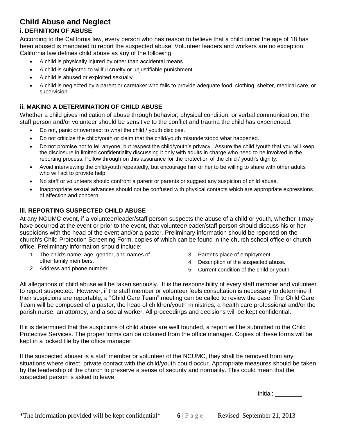## **Child Abuse and Neglect**

#### **i. DEFINITION OF ABUSE**

According to the California law, every person who has reason to believe that a child under the age of 18 has been abused is mandated to report the suspected abuse. Volunteer leaders and workers are no exception. California law defines child abuse as any of the following:

- A child is physically injured by other than accidental means
- A child is subjected to willful cruelty or unjustifiable punishment
- A child is abused or exploited sexually.
- A child is neglected by a parent or caretaker who fails to provide adequate food, clothing, shelter, medical care, or supervision

## **ii. MAKING A DETERMINATION OF CHILD ABUSE**

Whether a child gives indication of abuse through behavior, physical condition, or verbal communication, the staff person and/or volunteer should be sensitive to the conflict and trauma the child has experienced.

- Do not, panic or overreact to what the child / youth disclose.
- Do not criticize the child/youth or claim that the child/youth misunderstood what happened.
- Do not promise not to tell anyone, but respect the child/youth's privacy. Assure the child /youth that you will keep the disclosure in limited confidentiality discussing it only with adults in charge who need to be involved in the reporting process. Follow through on this assurance for the protection of the child / youth's dignity.
- Avoid interviewing the child/youth repeatedly, but encourage him or her to be willing to share with other adults who will act to provide help.
- No staff or volunteers should confront a parent or parents or suggest any suspicion of child abuse.
- Inappropriate sexual advances should not be confused with physical contacts which are appropriate expressions of affection and concern.

#### **iii. REPORTING SUSPECTED CHILD ABUSE**

At any NCUMC event, if a volunteer/leader/staff person suspects the abuse of a child or youth, whether it may have occurred at the event or prior to the event, that volunteer/leader/staff person should discuss his or her suspicions with the head of the event and/or a pastor. Preliminary information should be reported on the church's Child Protection Screening Form, copies of which can be found in the church school office or church office. Preliminary information should include:

- 1. The child's name, age, gender, and names of other family members.
- 3. Parent's place of employment.
- 4. Description of the suspected abuse.

2. Address and phone number.

5. Current condition of the child or youth

All allegations of child abuse will be taken seriously. It is the responsibility of every staff member and volunteer to report suspected. However, if the staff member or volunteer feels consultation is necessary to determine if their suspicions are reportable, a "Child Care Team" meeting can be called to review the case. The Child Care Team will be composed of a pastor, the head of children/youth ministries, a health care professional and/or the parish nurse, an attorney, and a social worker. All proceedings and decisions will be kept confidential.

If it is determined that the suspicions of child abuse are well founded, a report will be submitted to the Child Protective Services. The proper forms can be obtained from the office manager. Copies of these forms will be kept in a locked file by the office manager.

If the suspected abuser is a staff member or volunteer of the NCUMC, they shall be removed from any situations where direct, private contact with the child/youth could occur. Appropriate measures should be taken by the leadership of the church to preserve a sense of security and normality. This could mean that the suspected person is asked to leave.

Initial: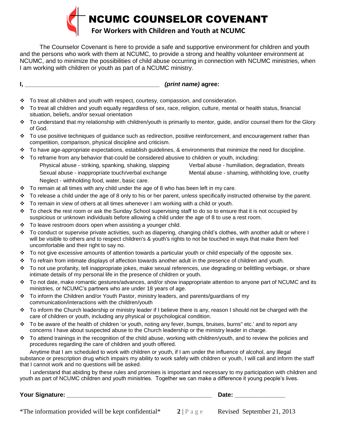

The Counselor Covenant is here to provide a safe and supportive environment for children and youth and the persons who work with them at NCUMC, to provide a strong and healthy volunteer environment at NCUMC, and to minimize the possibilities of child abuse occurring in connection with NCUMC ministries, when I am working with children or youth as part of a NCUMC ministry.

**I, \_\_\_\_\_\_\_\_\_\_\_\_\_\_\_\_\_\_\_\_\_\_\_\_\_\_\_\_\_\_\_\_\_\_\_\_\_\_\_\_** *(print name)* **agree:**

- $\div$  To treat all children and youth with respect, courtesy, compassion, and consideration.
- To treat all children and youth equally regardless of sex, race, religion, culture, mental or health status, financial situation, beliefs, and/or sexual orientation
- $\div$  To understand that my relationship with children/youth is primarily to mentor, guide, and/or counsel them for the Glory of God.
- $\div$  To use positive techniques of guidance such as redirection, positive reinforcement, and encouragement rather than competition, comparison, physical discipline and criticism.
- $\div$  To have age-appropriate expectations, establish guidelines, & environments that minimize the need for discipline.
- To reframe from any behavior that-could be considered abusive to children or youth, including: Physical abuse - striking, spanking, shaking, slapping Verbal abuse - humiliation, degradation, threats Sexual abuse - inappropriate touch/verbal exchange Mental abuse - shaming, withholding love, cruelty Neglect - withholding food, water, basic care.
	-
- $\div$  To remain at all times with any child under the age of 8 who has been left in my care.
- $\div$  To release a child under the age of 8 only to his or her parent, unless specifically instructed otherwise by the parent.
- $\div$  To remain in view of others at all times whenever I am working with a child or youth.
- To check the rest room or ask the Sunday School supervising staff to do so to ensure that it is not occupied by suspicious or unknown individuals before allowing a child under the age of 8 to use a rest room.
- $\div$  To leave restroom doors open when assisting a younger child.
- \* To conduct or supervise private activities, such as diapering, changing child's clothes, with another adult or where I will be visible to others and to respect children's & youth's rights to not be touched in ways that make them feel uncomfortable and their right to say no.
- To not give excessive amounts of attention towards a particular youth or child especially of the opposite sex.
- To refrain from intimate displays of affection towards another adult in the presence of children and youth.
- To not use profanity, tell inappropriate jokes, make sexual references, use degrading or belittling verbiage, or share intimate details of my personal life in the presence of children or youth.
- To not date, make romantic gestures/advances, and/or show inappropriate attention to anyone part of NCUMC and its ministries, or NCUMC's partners who are under 18 years of age.
- To inform the Children and/or Youth Pastor, ministry leaders, and parents/guardians of my communication/interactions with the children/youth
- $\div$  To inform the Church leadership or ministry leader if I believe there is any, reason I should not be charged with the care of children or youth, including any physical or psychological condition.
- To be aware of the health of children 'or youth, noting any fever, bumps, bruises, burns" etc.' and to report any concerns I have about suspected abuse to the Church leadership or the ministry leader in charge.
- $\div$  To attend trainings in the recognition of the child abuse, working with children/youth, and to review the policies and procedures regarding the care of children and youth offered.

Anytime that I am scheduled to work with children or youth, if I am under the influence of alcohol, any illegal substance or prescription drug which impairs my ability to work safely with children or youth, I will call and inform the staff that I cannot work and no questions will be asked.

I understand that abiding by these rules and promises is important and necessary to my participation with children and youth as part of NCUMC children and youth ministries. Together we can make a difference it young people's lives.

#### **Your Signature: \_\_\_\_\_\_\_\_\_\_\_\_\_\_\_\_\_\_\_\_\_\_\_\_\_\_\_\_\_\_\_\_\_\_\_\_\_\_\_\_\_\_\_ Date: \_\_\_\_\_\_\_\_\_\_\_\_\_\_\_**

\*The information provided will be kept confidential\*  $2 \mid P \text{ a } g \text{ e}$  Revised September 21, 2013